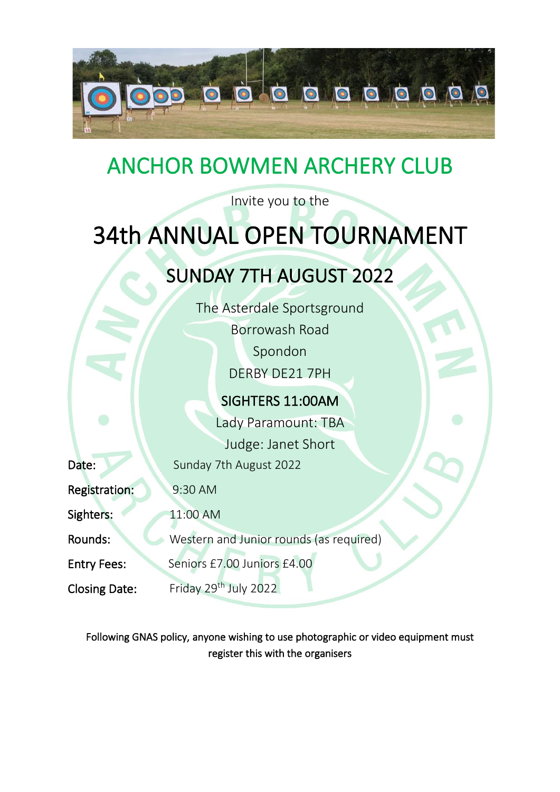

# ANCHOR BOWMEN ARCHERY CLUB

Invite you to the

# 34th ANNUAL OPEN TOURNAMENT

## SUNDAY 7TH AUGUST 2022

The Asterdale Sportsground Borrowash Road Spondon DERBY DE21 7PH

### SIGHTERS 11:00AM

Lady Paramount: TBA Judge: Janet Short

Date: Sunday 7th August 2022

Registration: 9:30 AM

Sighters: 11:00 AM

Rounds: Western and Junior rounds (as required)

Entry Fees: Seniors £7.00 Juniors £4.00

Closing Date: Friday 29<sup>th</sup> July 2022

Following GNAS policy, anyone wishing to use photographic or video equipment must register this with the organisers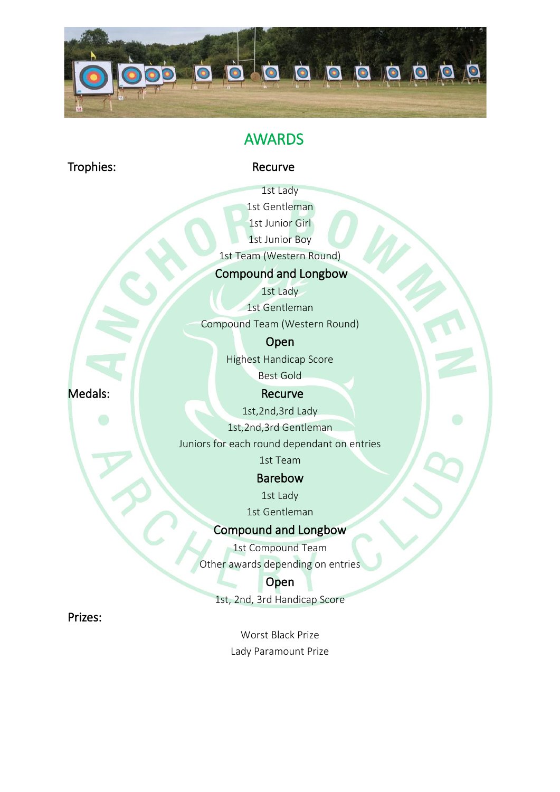

### AWARDS

Trophies: Recurve

1st Lady 1st Gentleman 1st Junior Girl

1st Junior Boy

1st Team (Western Round)

#### Compound and Longbow

1st Lady

1st Gentleman

Compound Team (Western Round)

Open

Highest Handicap Score Best Gold

Medals: Necurve

1st,2nd,3rd Lady

1st,2nd,3rd Gentleman

Juniors for each round dependant on entries

1st Team

Barebow

1st Lady

1st Gentleman

#### Compound and Longbow

1st Compound Team Other awards depending on entries

**Open** 

1st, 2nd, 3rd Handicap Score

Prizes:

Worst Black Prize Lady Paramount Prize